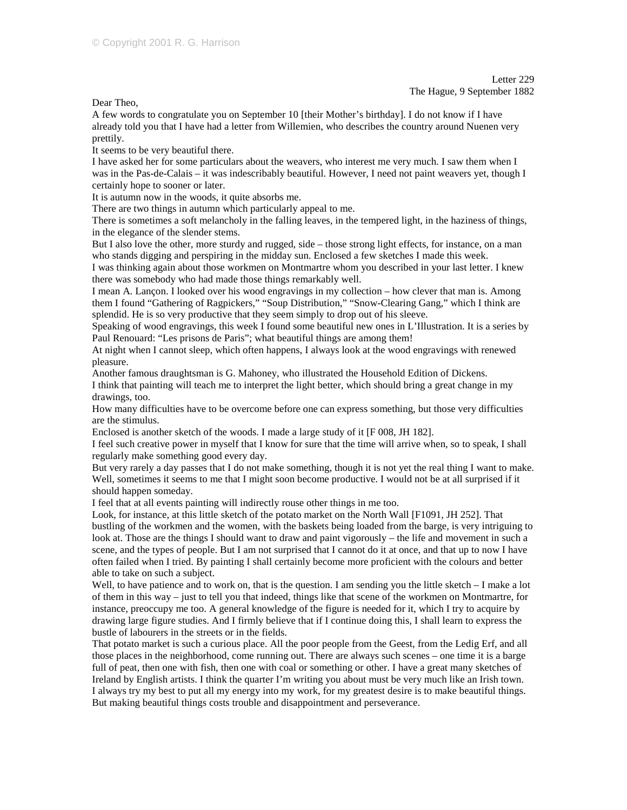Letter 229 The Hague, 9 September 1882

Dear Theo,

A few words to congratulate you on September 10 [their Mother's birthday]. I do not know if I have already told you that I have had a letter from Willemien, who describes the country around Nuenen very prettily.

It seems to be very beautiful there.

I have asked her for some particulars about the weavers, who interest me very much. I saw them when I was in the Pas-de-Calais – it was indescribably beautiful. However, I need not paint weavers yet, though I certainly hope to sooner or later.

It is autumn now in the woods, it quite absorbs me.

There are two things in autumn which particularly appeal to me.

There is sometimes a soft melancholy in the falling leaves, in the tempered light, in the haziness of things, in the elegance of the slender stems.

But I also love the other, more sturdy and rugged, side – those strong light effects, for instance, on a man who stands digging and perspiring in the midday sun. Enclosed a few sketches I made this week.

I was thinking again about those workmen on Montmartre whom you described in your last letter. I knew there was somebody who had made those things remarkably well.

I mean A. Lançon. I looked over his wood engravings in my collection – how clever that man is. Among them I found "Gathering of Ragpickers," "Soup Distribution," "Snow-Clearing Gang," which I think are splendid. He is so very productive that they seem simply to drop out of his sleeve.

Speaking of wood engravings, this week I found some beautiful new ones in L'Illustration. It is a series by Paul Renouard: "Les prisons de Paris"; what beautiful things are among them!

At night when I cannot sleep, which often happens, I always look at the wood engravings with renewed pleasure.

Another famous draughtsman is G. Mahoney, who illustrated the Household Edition of Dickens.

I think that painting will teach me to interpret the light better, which should bring a great change in my drawings, too.

How many difficulties have to be overcome before one can express something, but those very difficulties are the stimulus.

Enclosed is another sketch of the woods. I made a large study of it [F 008, JH 182].

I feel such creative power in myself that I know for sure that the time will arrive when, so to speak, I shall regularly make something good every day.

But very rarely a day passes that I do not make something, though it is not yet the real thing I want to make. Well, sometimes it seems to me that I might soon become productive. I would not be at all surprised if it should happen someday.

I feel that at all events painting will indirectly rouse other things in me too.

Look, for instance, at this little sketch of the potato market on the North Wall [F1091, JH 252]. That bustling of the workmen and the women, with the baskets being loaded from the barge, is very intriguing to look at. Those are the things I should want to draw and paint vigorously – the life and movement in such a scene, and the types of people. But I am not surprised that I cannot do it at once, and that up to now I have often failed when I tried. By painting I shall certainly become more proficient with the colours and better able to take on such a subject.

Well, to have patience and to work on, that is the question. I am sending you the little sketch – I make a lot of them in this way – just to tell you that indeed, things like that scene of the workmen on Montmartre, for instance, preoccupy me too. A general knowledge of the figure is needed for it, which I try to acquire by drawing large figure studies. And I firmly believe that if I continue doing this, I shall learn to express the bustle of labourers in the streets or in the fields.

That potato market is such a curious place. All the poor people from the Geest, from the Ledig Erf, and all those places in the neighborhood, come running out. There are always such scenes – one time it is a barge full of peat, then one with fish, then one with coal or something or other. I have a great many sketches of Ireland by English artists. I think the quarter I'm writing you about must be very much like an Irish town. I always try my best to put all my energy into my work, for my greatest desire is to make beautiful things. But making beautiful things costs trouble and disappointment and perseverance.